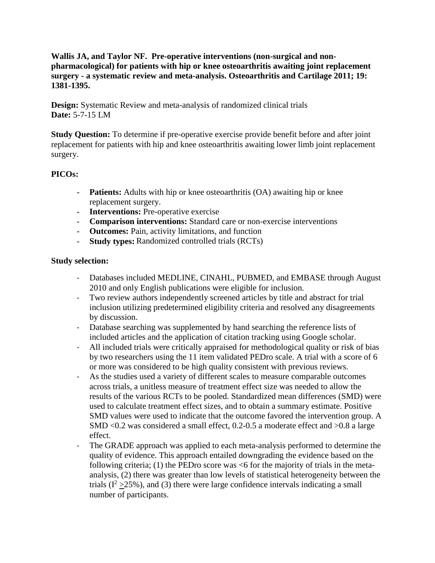**Wallis JA, and Taylor NF. Pre-operative interventions (non-surgical and nonpharmacological) for patients with hip or knee osteoarthritis awaiting joint replacement surgery - a systematic review and meta-analysis. Osteoarthritis and Cartilage 2011; 19: 1381-1395.**

**Design:** Systematic Review and meta-analysis of randomized clinical trials **Date:** 5-7-15 LM

**Study Question:** To determine if pre-operative exercise provide benefit before and after joint replacement for patients with hip and knee osteoarthritis awaiting lower limb joint replacement surgery.

# **PICOs:**

- **Patients:** Adults with hip or knee osteoarthritis (OA) awaiting hip or knee replacement surgery.
- **Interventions:** Pre-operative exercise
- **Comparison interventions:** Standard care or non-exercise interventions
- **Outcomes:** Pain, activity limitations, and function
- **Study types:** Randomized controlled trials (RCTs)

### **Study selection:**

- Databases included MEDLINE, CINAHL, PUBMED, and EMBASE through August 2010 and only English publications were eligible for inclusion.
- Two review authors independently screened articles by title and abstract for trial inclusion utilizing predetermined eligibility criteria and resolved any disagreements by discussion.
- Database searching was supplemented by hand searching the reference lists of included articles and the application of citation tracking using Google scholar.
- All included trials were critically appraised for methodological quality or risk of bias by two researchers using the 11 item validated PEDro scale. A trial with a score of 6 or more was considered to be high quality consistent with previous reviews.
- As the studies used a variety of different scales to measure comparable outcomes across trials, a unitless measure of treatment effect size was needed to allow the results of the various RCTs to be pooled. Standardized mean differences (SMD) were used to calculate treatment effect sizes, and to obtain a summary estimate. Positive SMD values were used to indicate that the outcome favored the intervention group. A SMD <0.2 was considered a small effect, 0.2-0.5 a moderate effect and >0.8 a large effect.
- The GRADE approach was applied to each meta-analysis performed to determine the quality of evidence. This approach entailed downgrading the evidence based on the following criteria; (1) the PEDro score was  $<$  for the majority of trials in the metaanalysis, (2) there was greater than low levels of statistical heterogeneity between the trials  $(I^2 > 25\%)$ , and (3) there were large confidence intervals indicating a small number of participants.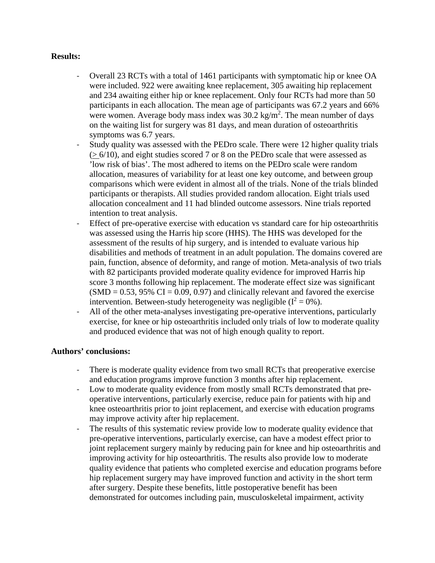### **Results:**

- Overall 23 RCTs with a total of 1461 participants with symptomatic hip or knee OA were included. 922 were awaiting knee replacement, 305 awaiting hip replacement and 234 awaiting either hip or knee replacement. Only four RCTs had more than 50 participants in each allocation. The mean age of participants was 67.2 years and 66% were women. Average body mass index was  $30.2 \text{ kg/m}^2$ . The mean number of days on the waiting list for surgery was 81 days, and mean duration of osteoarthritis symptoms was 6.7 years.
- Study quality was assessed with the PEDro scale. There were 12 higher quality trials  $(> 6/10)$ , and eight studies scored 7 or 8 on the PEDro scale that were assessed as 'low risk of bias'. The most adhered to items on the PEDro scale were random allocation, measures of variability for at least one key outcome, and between group comparisons which were evident in almost all of the trials. None of the trials blinded participants or therapists. All studies provided random allocation. Eight trials used allocation concealment and 11 had blinded outcome assessors. Nine trials reported intention to treat analysis.
- Effect of pre-operative exercise with education vs standard care for hip osteoarthritis was assessed using the Harris hip score (HHS). The HHS was developed for the assessment of the results of hip surgery, and is intended to evaluate various hip disabilities and methods of treatment in an adult population. The domains covered are pain, function, absence of deformity, and range of motion. Meta-analysis of two trials with 82 participants provided moderate quality evidence for improved Harris hip score 3 months following hip replacement. The moderate effect size was significant  $(SMD = 0.53, 95\% \text{ CI} = 0.09, 0.97)$  and clinically relevant and favored the exercise intervention. Between-study heterogeneity was negligible  $(I^2 = 0\%)$ .
- All of the other meta-analyses investigating pre-operative interventions, particularly exercise, for knee or hip osteoarthritis included only trials of low to moderate quality and produced evidence that was not of high enough quality to report.

#### **Authors' conclusions:**

- There is moderate quality evidence from two small RCTs that preoperative exercise and education programs improve function 3 months after hip replacement.
- Low to moderate quality evidence from mostly small RCTs demonstrated that preoperative interventions, particularly exercise, reduce pain for patients with hip and knee osteoarthritis prior to joint replacement, and exercise with education programs may improve activity after hip replacement.
- The results of this systematic review provide low to moderate quality evidence that pre-operative interventions, particularly exercise, can have a modest effect prior to joint replacement surgery mainly by reducing pain for knee and hip osteoarthritis and improving activity for hip osteoarthritis. The results also provide low to moderate quality evidence that patients who completed exercise and education programs before hip replacement surgery may have improved function and activity in the short term after surgery. Despite these benefits, little postoperative benefit has been demonstrated for outcomes including pain, musculoskeletal impairment, activity